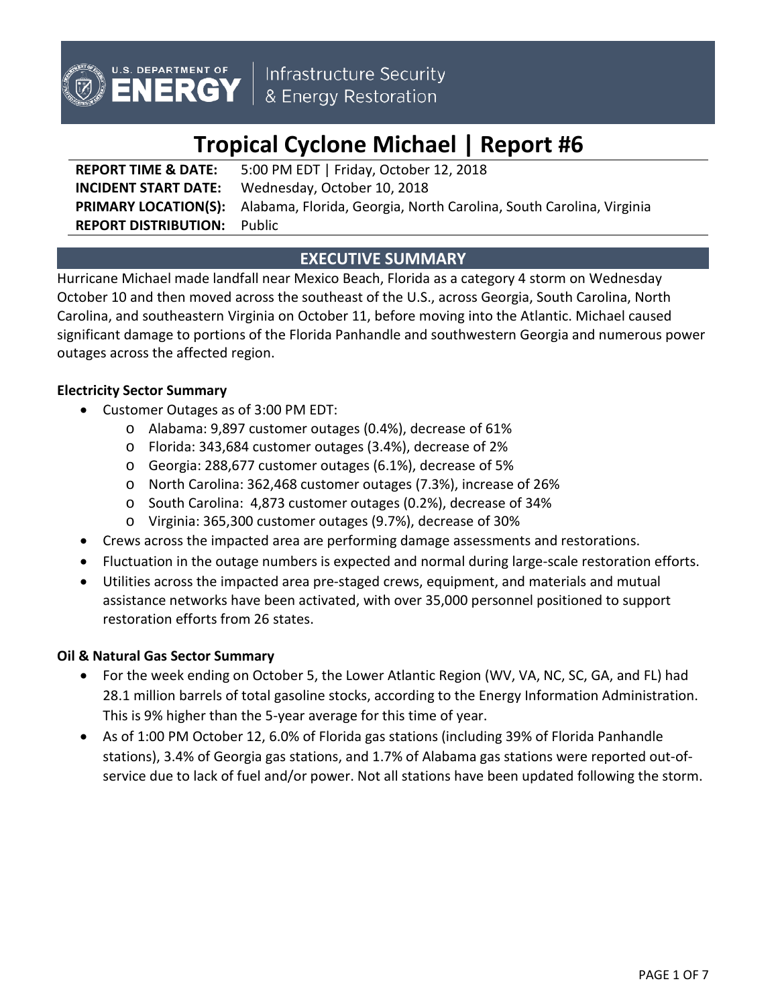

Infrastructure Security<br>& Energy Restoration

# **Tropical Cyclone Michael | Report #6**

**REPORT TIME & DATE:** 5:00 PM EDT | Friday, October 12, 2018 **INCIDENT START DATE:** Wednesday, October 10, 2018 **PRIMARY LOCATION(S):** Alabama, Florida, Georgia, North Carolina, South Carolina, Virginia **REPORT DISTRIBUTION:** Public

## **EXECUTIVE SUMMARY**

Hurricane Michael made landfall near Mexico Beach, Florida as a category 4 storm on Wednesday October 10 and then moved across the southeast of the U.S., across Georgia, South Carolina, North Carolina, and southeastern Virginia on October 11, before moving into the Atlantic. Michael caused significant damage to portions of the Florida Panhandle and southwestern Georgia and numerous power outages across the affected region.

## **Electricity Sector Summary**

- Customer Outages as of 3:00 PM EDT:
	- o Alabama: 9,897 customer outages (0.4%), decrease of 61%
	- o Florida: 343,684 customer outages (3.4%), decrease of 2%
	- o Georgia: 288,677 customer outages (6.1%), decrease of 5%
	- o North Carolina: 362,468 customer outages (7.3%), increase of 26%
	- o South Carolina: 4,873 customer outages (0.2%), decrease of 34%
	- o Virginia: 365,300 customer outages (9.7%), decrease of 30%
- Crews across the impacted area are performing damage assessments and restorations.
- Fluctuation in the outage numbers is expected and normal during large-scale restoration efforts.
- Utilities across the impacted area pre-staged crews, equipment, and materials and mutual assistance networks have been activated, with over 35,000 personnel positioned to support restoration efforts from 26 states.

## **Oil & Natural Gas Sector Summary**

- For the week ending on October 5, the Lower Atlantic Region (WV, VA, NC, SC, GA, and FL) had 28.1 million barrels of total gasoline stocks, according to the Energy Information Administration. This is 9% higher than the 5-year average for this time of year.
- As of 1:00 PM October 12, 6.0% of Florida gas stations (including 39% of Florida Panhandle stations), 3.4% of Georgia gas stations, and 1.7% of Alabama gas stations were reported out-ofservice due to lack of fuel and/or power. Not all stations have been updated following the storm.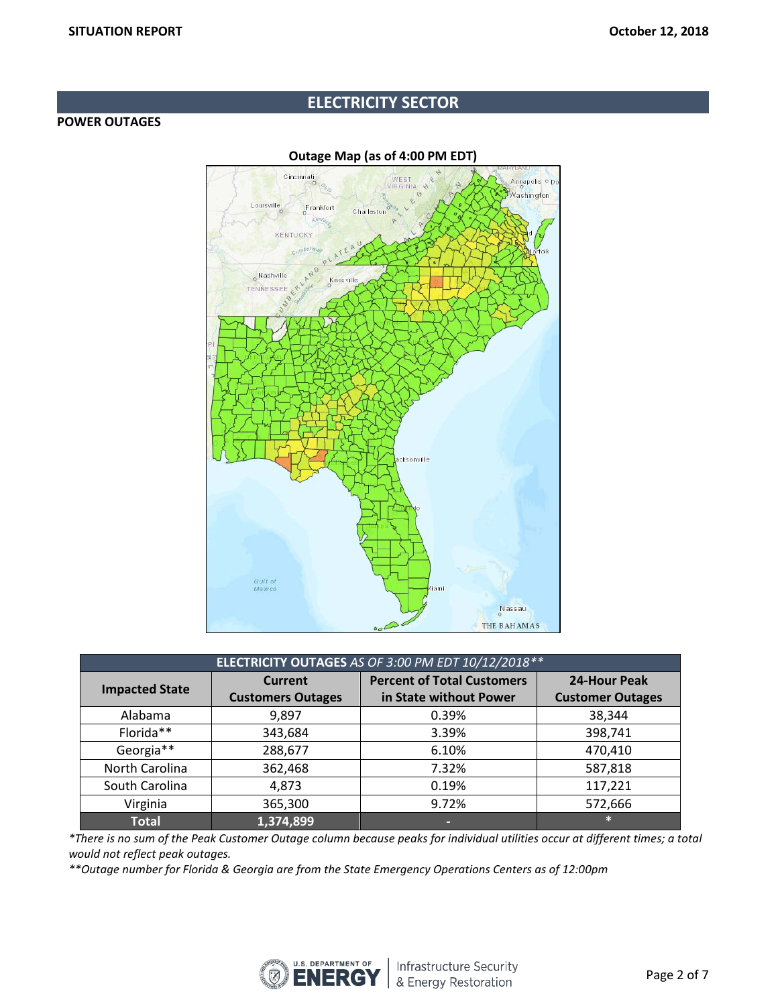## **ELECTRICITY SECTOR**

#### **POWER OUTAGES**



#### **Outage Map (as of 4:00 PM EDT)**

| ELECTRICITY OUTAGES AS OF 3:00 PM EDT 10/12/2018 ** |                                            |                                                             |                                         |  |  |
|-----------------------------------------------------|--------------------------------------------|-------------------------------------------------------------|-----------------------------------------|--|--|
| <b>Impacted State</b>                               | <b>Current</b><br><b>Customers Outages</b> | <b>Percent of Total Customers</b><br>in State without Power | 24-Hour Peak<br><b>Customer Outages</b> |  |  |
| Alabama                                             | 9,897                                      | 0.39%                                                       | 38,344                                  |  |  |
| Florida**                                           | 343,684                                    | 3.39%                                                       | 398,741                                 |  |  |
| Georgia**                                           | 288,677                                    | 6.10%                                                       | 470,410                                 |  |  |
| North Carolina                                      | 362,468                                    | 7.32%                                                       | 587,818                                 |  |  |
| South Carolina                                      | 4,873                                      | 0.19%                                                       | 117,221                                 |  |  |
| Virginia                                            | 365,300                                    | 9.72%                                                       | 572,666                                 |  |  |
| <b>Total</b>                                        | 1,374,899                                  | -                                                           | $\ast$                                  |  |  |

*\*There is no sum of the Peak Customer Outage column because peaks for individual utilities occur at different times; a total would not reflect peak outages.*

*\*\*Outage number for Florida & Georgia are from the State Emergency Operations Centers as of 12:00pm* 

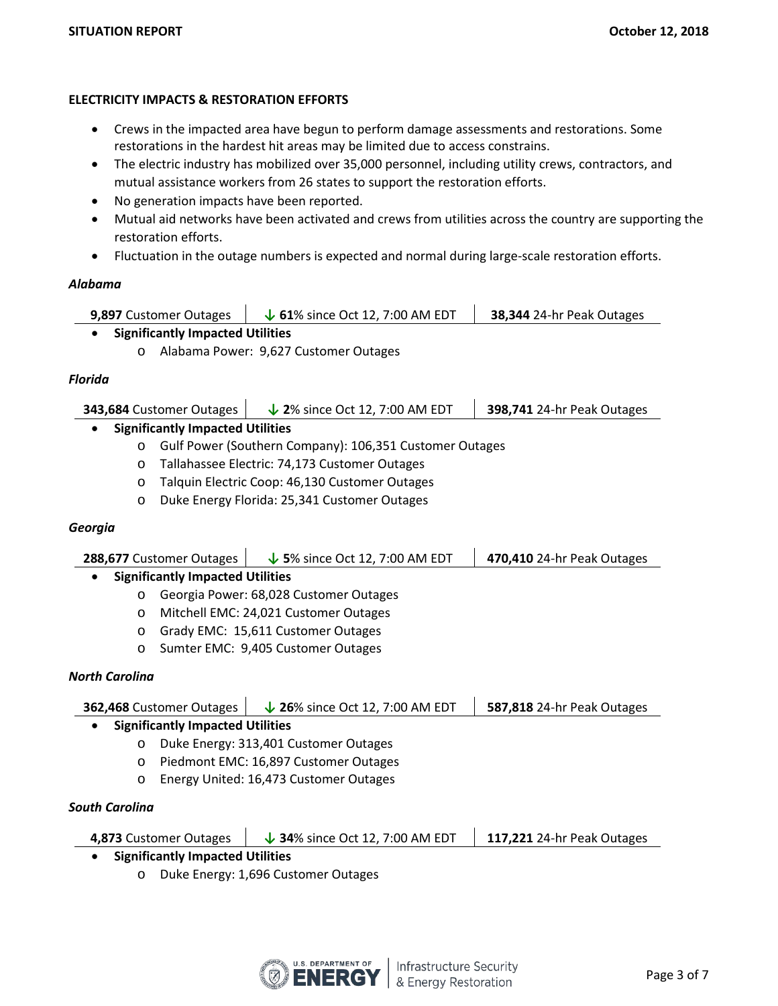## **ELECTRICITY IMPACTS & RESTORATION EFFORTS**

- Crews in the impacted area have begun to perform damage assessments and restorations. Some restorations in the hardest hit areas may be limited due to access constrains.
- The electric industry has mobilized over 35,000 personnel, including utility crews, contractors, and mutual assistance workers from 26 states to support the restoration efforts.
- No generation impacts have been reported.
- Mutual aid networks have been activated and crews from utilities across the country are supporting the restoration efforts.
- Fluctuation in the outage numbers is expected and normal during large-scale restoration efforts.

#### *Alabama*

| <b>9,897 Customer Outages</b> | $\downarrow$ 61% since Oct 12, 7:00 AM EDT | 38,344 24-hr Peak Outages |
|-------------------------------|--------------------------------------------|---------------------------|
|-------------------------------|--------------------------------------------|---------------------------|

- **Significantly Impacted Utilities**
	- o Alabama Power: 9,627 Customer Outages

#### *Florida*

| 343,684 Customer Outages | $\downarrow$ 2% since Oct 12, 7:00 AM EDT | 398,741 24-hr Peak Outages |
|--------------------------|-------------------------------------------|----------------------------|
|--------------------------|-------------------------------------------|----------------------------|

## • **Significantly Impacted Utilities**

- o Gulf Power (Southern Company): 106,351 Customer Outages
- o Tallahassee Electric: 74,173 Customer Outages
- o Talquin Electric Coop: 46,130 Customer Outages
- o Duke Energy Florida: 25,341 Customer Outages

#### *Georgia*

| 288,677 Customer Outages |                                         | $\downarrow$ 5% since Oct 12, 7:00 AM EDT | 470,410 24-hr Peak Outages |
|--------------------------|-----------------------------------------|-------------------------------------------|----------------------------|
|                          | <b>Significantly Impacted Utilities</b> |                                           |                            |
| $\circ$                  |                                         | Georgia Power: 68,028 Customer Outages    |                            |
|                          |                                         | Mitchell EMC: 24,021 Customer Outages     |                            |

- o Grady EMC: 15,611 Customer Outages
- o Sumter EMC: 9,405 Customer Outages

#### *North Carolina*

| 362,468 Customer Outages |                                         | $\downarrow$ 26% since Oct 12, 7:00 AM EDT | 587,818 24-hr Peak Outages |
|--------------------------|-----------------------------------------|--------------------------------------------|----------------------------|
|                          | <b>Significantly Impacted Utilities</b> |                                            |                            |
| $\circ$                  |                                         | Duke Energy: 313,401 Customer Outages      |                            |
| $\circ$                  | Piedmont EMC: 16,897 Customer Outages   |                                            |                            |
| $\circ$                  | Energy United: 16,473 Customer Outages  |                                            |                            |
| South Carolina           |                                         |                                            |                            |

## **4,873** Customer Outages **↓ 34**% since Oct 12, 7:00 AM EDT **117,221** 24-hr Peak Outages

- **Significantly Impacted Utilities**
	- o Duke Energy: 1,696 Customer Outages

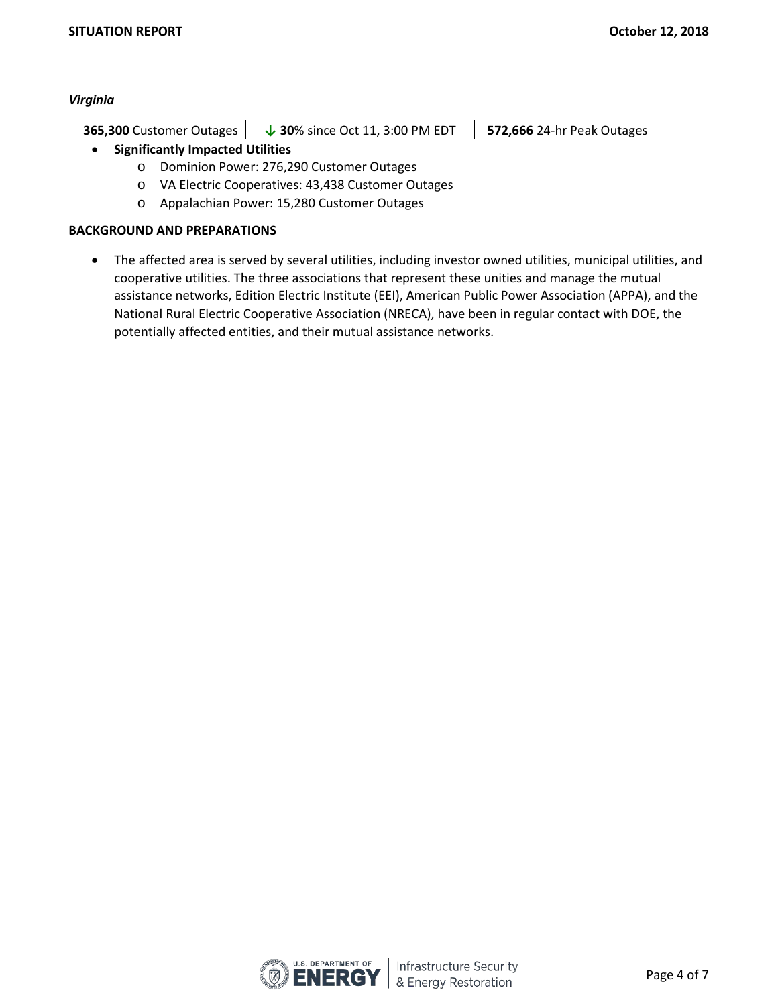#### *Virginia*

| 365,300 Customer Outages | $\downarrow$ 30% since Oct 11, 3:00 PM EDT | <b>572,666</b> 24-hr Peak Outages |
|--------------------------|--------------------------------------------|-----------------------------------|
|                          |                                            |                                   |

## • **Significantly Impacted Utilities**

- o Dominion Power: 276,290 Customer Outages
- o VA Electric Cooperatives: 43,438 Customer Outages
- o Appalachian Power: 15,280 Customer Outages

#### **BACKGROUND AND PREPARATIONS**

• The affected area is served by several utilities, including investor owned utilities, municipal utilities, and cooperative utilities. The three associations that represent these unities and manage the mutual assistance networks, Edition Electric Institute (EEI), American Public Power Association (APPA), and the National Rural Electric Cooperative Association (NRECA), have been in regular contact with DOE, the potentially affected entities, and their mutual assistance networks.

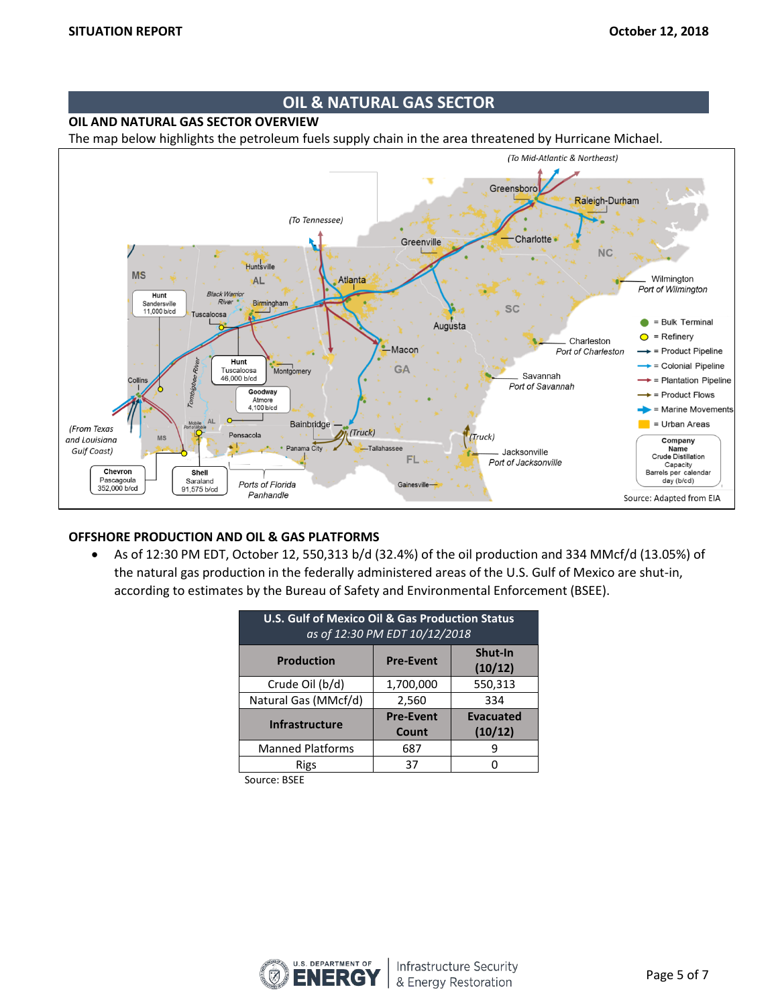## **OIL & NATURAL GAS SECTOR**

**OIL AND NATURAL GAS SECTOR OVERVIEW**

The map below highlights the petroleum fuels supply chain in the area threatened by Hurricane Michael.



#### **OFFSHORE PRODUCTION AND OIL & GAS PLATFORMS**

• As of 12:30 PM EDT, October 12, 550,313 b/d (32.4%) of the oil production and 334 MMcf/d (13.05%) of the natural gas production in the federally administered areas of the U.S. Gulf of Mexico are shut-in, according to estimates by the Bureau of Safety and Environmental Enforcement (BSEE).

| U.S. Gulf of Mexico Oil & Gas Production Status<br>as of 12:30 PM EDT 10/12/2018 |                           |                             |  |  |  |
|----------------------------------------------------------------------------------|---------------------------|-----------------------------|--|--|--|
| <b>Production</b>                                                                | <b>Pre-Event</b>          | Shut-In<br>(10/12)          |  |  |  |
| Crude Oil (b/d)                                                                  | 1,700,000                 | 550,313                     |  |  |  |
| Natural Gas (MMcf/d)                                                             | 2,560                     | 334                         |  |  |  |
| <b>Infrastructure</b>                                                            | <b>Pre-Event</b><br>Count | <b>Evacuated</b><br>(10/12) |  |  |  |
| <b>Manned Platforms</b>                                                          | 687                       |                             |  |  |  |
| Rigs                                                                             | 37                        |                             |  |  |  |

Source: BSEE

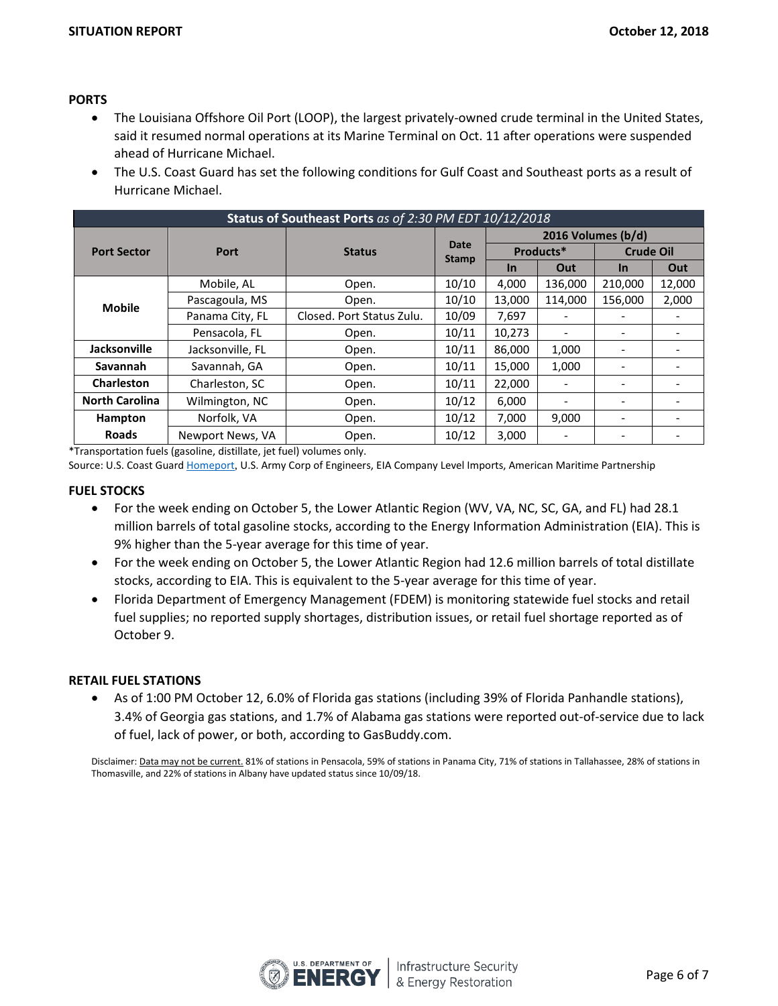#### **PORTS**

- The Louisiana Offshore Oil Port (LOOP), the largest privately-owned crude terminal in the United States, said it resumed normal operations at its Marine Terminal on Oct. 11 after operations were suspended ahead of Hurricane Michael.
- The U.S. Coast Guard has set the following conditions for Gulf Coast and Southeast ports as a result of Hurricane Michael.

| Status of Southeast Ports as of 2:30 PM EDT 10/12/2018 |                              |                           |                      |                    |                              |                  |                          |
|--------------------------------------------------------|------------------------------|---------------------------|----------------------|--------------------|------------------------------|------------------|--------------------------|
|                                                        | <b>Port</b><br><b>Status</b> |                           | Date<br><b>Stamp</b> | 2016 Volumes (b/d) |                              |                  |                          |
| <b>Port Sector</b>                                     |                              |                           |                      | Products*          |                              | <b>Crude Oil</b> |                          |
|                                                        |                              |                           | <b>In</b>            | Out                | In                           | Out              |                          |
|                                                        | Mobile, AL                   | Open.                     | 10/10                | 4,000              | 136,000                      | 210,000          | 12,000                   |
| <b>Mobile</b>                                          | Pascagoula, MS               | Open.                     | 10/10                | 13,000             | 114,000                      | 156,000          | 2,000                    |
|                                                        | Panama City, FL              | Closed. Port Status Zulu. | 10/09                | 7,697              |                              |                  | $\overline{\phantom{0}}$ |
|                                                        | Pensacola, FL                | Open.                     | 10/11                | 10,273             | $\overline{\phantom{a}}$     |                  | $\overline{\phantom{0}}$ |
| Jacksonville                                           | Jacksonville, FL             | Open.                     | 10/11                | 86,000             | 1,000                        |                  |                          |
| Savannah                                               | Savannah, GA                 | Open.                     | 10/11                | 15,000             | 1,000                        |                  |                          |
| Charleston                                             | Charleston, SC               | Open.                     | 10/11                | 22,000             |                              |                  |                          |
| <b>North Carolina</b>                                  | Wilmington, NC               | Open.                     | 10/12                | 6,000              | $\qquad \qquad \blacksquare$ |                  |                          |
| Hampton                                                | Norfolk, VA                  | Open.                     | 10/12                | 7,000              | 9,000                        |                  |                          |
| <b>Roads</b>                                           | Newport News, VA             | Open.                     | 10/12                | 3,000              |                              |                  | $\overline{\phantom{0}}$ |

\*Transportation fuels (gasoline, distillate, jet fuel) volumes only.

Source: U.S. Coast Guard **Homeport, U.S. Army Corp of Engineers**, EIA Company Level Imports, American Maritime Partnership

#### **FUEL STOCKS**

- For the week ending on October 5, the Lower Atlantic Region (WV, VA, NC, SC, GA, and FL) had 28.1 million barrels of total gasoline stocks, according to the Energy Information Administration (EIA). This is 9% higher than the 5-year average for this time of year.
- For the week ending on October 5, the Lower Atlantic Region had 12.6 million barrels of total distillate stocks, according to EIA. This is equivalent to the 5-year average for this time of year.
- Florida Department of Emergency Management (FDEM) is monitoring statewide fuel stocks and retail fuel supplies; no reported supply shortages, distribution issues, or retail fuel shortage reported as of October 9.

#### **RETAIL FUEL STATIONS**

• As of 1:00 PM October 12, 6.0% of Florida gas stations (including 39% of Florida Panhandle stations), 3.4% of Georgia gas stations, and 1.7% of Alabama gas stations were reported out-of-service due to lack of fuel, lack of power, or both, according to GasBuddy.com.

Disclaimer: Data may not be current. 81% of stations in Pensacola, 59% of stations in Panama City, 71% of stations in Tallahassee, 28% of stations in Thomasville, and 22% of stations in Albany have updated status since 10/09/18.